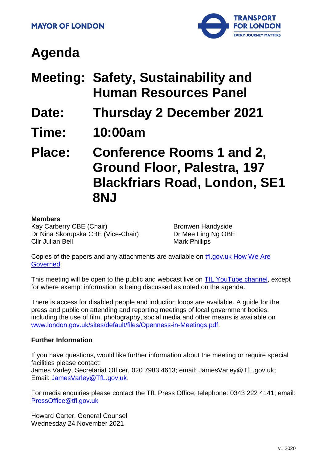

# **Agenda**

- **Meeting: Safety, Sustainability and Human Resources Panel**
- **Date: Thursday 2 December 2021**
- **Time: 10:00am**

**Place: Conference Rooms 1 and 2, Ground Floor, Palestra, 197 Blackfriars Road, London, SE1 8NJ**

#### **Members**

Kay Carberry CBE (Chair) Dr Nina Skorupska CBE (Vice-Chair) Cllr Julian Bell

Bronwen Handyside Dr Mee Ling Ng OBE Mark Phillips

Copies of the papers and any attachments are available on [tfl.gov.uk How We Are](http://www.tfl.gov.uk/corporate/about-tfl/how-we-work/how-we-are-governed)  [Governed.](http://www.tfl.gov.uk/corporate/about-tfl/how-we-work/how-we-are-governed)

This meeting will be open to the public and webcast live on [TfL YouTube channel,](https://www.youtube.com/watch?v=_2U9viPQ9WE&list=PLtnlusA0Zoggk4qvN68OcnD9k_7B8cY_d) except for where exempt information is being discussed as noted on the agenda.

There is access for disabled people and induction loops are available. A guide for the press and public on attending and reporting meetings of local government bodies, including the use of film, photography, social media and other means is available on [www.london.gov.uk/sites/default/files/Openness-in-Meetings.pdf.](http://www.london.gov.uk/sites/default/files/Openness-in-Meetings.pdf)

#### **Further Information**

If you have questions, would like further information about the meeting or require special facilities please contact:

James Varley, Secretariat Officer, 020 7983 4613; email: JamesVarley@TfL.gov.uk; Email: [JamesVarley@TfL.gov.uk.](mailto:Secretariat02@tfl.gov.uk)

For media enquiries please contact the TfL Press Office; telephone: 0343 222 4141; email: [PressOffice@tfl.gov.uk](mailto:PressOffice@tfl.gov.uk)

Howard Carter, General Counsel Wednesday 24 November 2021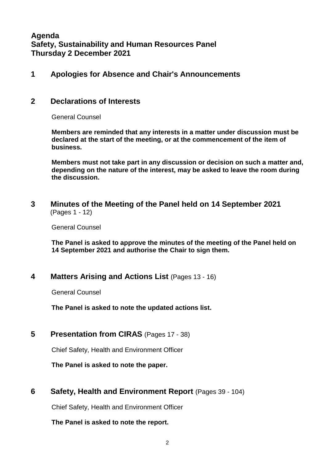**Agenda Safety, Sustainability and Human Resources Panel Thursday 2 December 2021**

## **1 Apologies for Absence and Chair's Announcements**

## **2 Declarations of Interests**

General Counsel

**Members are reminded that any interests in a matter under discussion must be declared at the start of the meeting, or at the commencement of the item of business.** 

**Members must not take part in any discussion or decision on such a matter and, depending on the nature of the interest, may be asked to leave the room during the discussion.**

**3 Minutes of the Meeting of the Panel held on 14 September 2021** (Pages 1 - 12)

General Counsel

**The Panel is asked to approve the minutes of the meeting of the Panel held on 14 September 2021 and authorise the Chair to sign them.**

#### **4 Matters Arising and Actions List** (Pages 13 - 16)

General Counsel

**The Panel is asked to note the updated actions list.**

**5 Presentation from CIRAS** (Pages 17 - 38)

Chief Safety, Health and Environment Officer

**The Panel is asked to note the paper.** 

**6 Safety, Health and Environment Report** (Pages 39 - 104)

Chief Safety, Health and Environment Officer

**The Panel is asked to note the report.**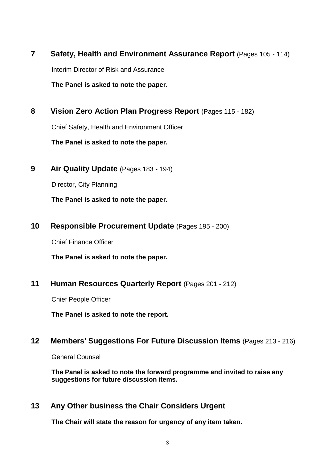## **7 Safety, Health and Environment Assurance Report** (Pages 105 - 114)

Interim Director of Risk and Assurance

**The Panel is asked to note the paper.** 

## **8 Vision Zero Action Plan Progress Report** (Pages 115 - 182)

Chief Safety, Health and Environment Officer

**The Panel is asked to note the paper.**

## **9 Air Quality Update** (Pages 183 - 194)

Director, City Planning

**The Panel is asked to note the paper.** 

### **10 Responsible Procurement Update** (Pages 195 - 200)

Chief Finance Officer

**The Panel is asked to note the paper.** 

## **11 Human Resources Quarterly Report** (Pages 201 - 212)

Chief People Officer

**The Panel is asked to note the report.**

## **12 Members' Suggestions For Future Discussion Items** (Pages 213 - 216)

General Counsel

**The Panel is asked to note the forward programme and invited to raise any suggestions for future discussion items.**

## **13 Any Other business the Chair Considers Urgent**

**The Chair will state the reason for urgency of any item taken.**